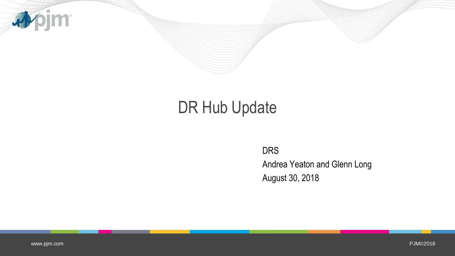

# DR Hub Update

DRS Andrea Yeaton and Glenn Long August 30, 2018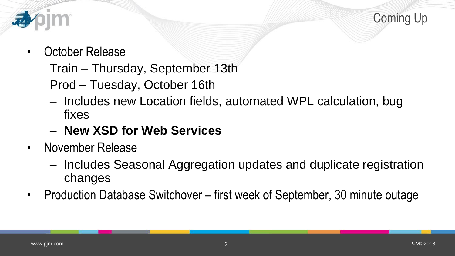Coming Up



- October Release
	- Train Thursday, September 13th
	- Prod Tuesday, October 16th
	- Includes new Location fields, automated WPL calculation, bug fixes
	- **New XSD for Web Services**
- November Release
	- Includes Seasonal Aggregation updates and duplicate registration changes
- Production Database Switchover first week of September, 30 minute outage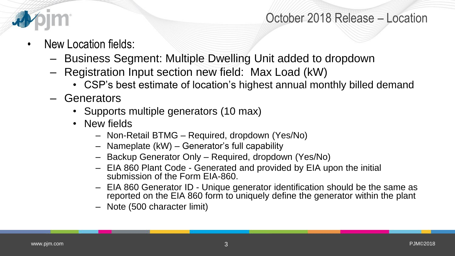

## October 2018 Release – Location

- New Location fields:
	- Business Segment: Multiple Dwelling Unit added to dropdown
	- Registration Input section new field: Max Load (kW)
		- CSP's best estimate of location's highest annual monthly billed demand
	- Generators
		- Supports multiple generators (10 max)
		- New fields
			- Non-Retail BTMG Required, dropdown (Yes/No)
			- Nameplate (kW) Generator's full capability
			- Backup Generator Only Required, dropdown (Yes/No)
			- EIA 860 Plant Code Generated and provided by EIA upon the initial submission of the Form EIA-860.
			- EIA 860 Generator ID Unique generator identification should be the same as reported on the EIA 860 form to uniquely define the generator within the plant
			- Note (500 character limit)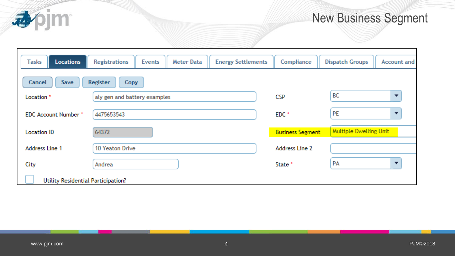

## New Business Segment

| <b>Tasks</b><br><b>Locations</b>   | <b>Registrations</b><br>Events<br><b>Meter Data</b> | <b>Energy Settlements</b> | Compliance              | <b>Dispatch Groups</b>        | <b>Account and</b> |  |  |  |  |  |  |  |
|------------------------------------|-----------------------------------------------------|---------------------------|-------------------------|-------------------------------|--------------------|--|--|--|--|--|--|--|
| Register<br>Cancel<br>Save<br>Copy |                                                     |                           |                         |                               |                    |  |  |  |  |  |  |  |
| Location <sup>*</sup>              | aly gen and battery examples                        |                           | BC<br><b>CSP</b>        |                               |                    |  |  |  |  |  |  |  |
| <b>EDC Account Number*</b>         | 4475653543                                          |                           | EDC <sup>*</sup>        | PE<br>▼                       |                    |  |  |  |  |  |  |  |
| <b>Location ID</b>                 | 64372                                               |                           | <b>Business Segment</b> | <b>Multiple Dwelling Unit</b> |                    |  |  |  |  |  |  |  |
| <b>Address Line 1</b>              | 10 Yeaton Drive                                     |                           | Address Line 2          |                               |                    |  |  |  |  |  |  |  |
| City                               | Andrea                                              |                           | State <sup>*</sup>      | PA                            | ▼                  |  |  |  |  |  |  |  |
| Utility Residential Participation? |                                                     |                           |                         |                               |                    |  |  |  |  |  |  |  |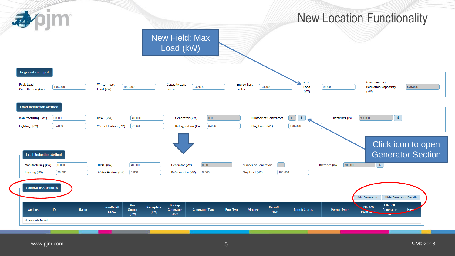#### New Location Functionality New Field: Max Load (kW) **Registration Input** Max Maximum Load Peak Load **Winter Peak Capacity Loss Energy Loss** 155.000 100.000 1.08000 1.06000  $0.000$ 675,000 Load **Reduction Capability** Factor Factor Contribution (kW) Load (kW)  $(kW)$ (kW) **Load Reduction Method**  $0.000$ 40.000  $0.00$  $\boxed{0}$  $\mathbf{i}$ 500.00  $\sqrt{i}$ HVAC (kW) Number of Generators Batteries (kW) Manufacturing (kW) Generator (kW) 35.000  $0.000$  $0.000$  $100.000$ Lighting (kW) Water Heaters (kW) Refrigeration (kW) Plug Load (kW) Click icon to open Generator Section**Load Reduction Method**  $\boxed{0}$  $0.000$ HVAC (kW)  $40.000$  $0.00$ Number of Generators Batteries (kW) 500.00  $\langle \hat{\mathbf{1}} \rangle$ Manufacturing (kW) Generator (kW)  $35.000$  $0.000$  $0.000$  $100.000$ Lighting (kW) Water Heaters (kW) Refrigeration (kW) Plug Load (kW) **Generator Attributes Add Generator Hide Generator Details Backup EIA 860** Max **Non-Retail Nameplate** Retrofit **EIA 860**  $ID$ **Name Fuel Type** Vintage **Permit Status** Permit Type **Actions** Output Generator **Generator Type** Generator **Note** Plant Code **BTMG**  $(kW)$ Year  $(kW)$ Only No records found.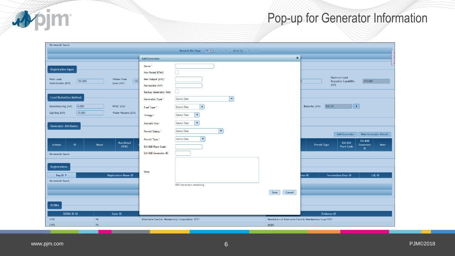

## Pop-up for Generator Information

| No records found.                                                        |                                                                                                                                                                                                    |                                                                                             |
|--------------------------------------------------------------------------|----------------------------------------------------------------------------------------------------------------------------------------------------------------------------------------------------|---------------------------------------------------------------------------------------------|
|                                                                          | Records Per Page: $\boxed{10 \mid \vee \mid}$   $\mid \cdot \mid$   $\langle \cdot \mid \cdot \rangle$   $\mid \cdot \rangle$   $\mid \cdot \rangle$   $\mid \cdot \rangle$   $\mid \cdot \rangle$ |                                                                                             |
|                                                                          | <b>Add Generator</b>                                                                                                                                                                               | $\mathbf{x}$                                                                                |
|                                                                          | Name*                                                                                                                                                                                              |                                                                                             |
| <b>Registration Input</b>                                                | U<br>Non-Retail BTMG                                                                                                                                                                               |                                                                                             |
| Peak Load<br>Winter Peak                                                 | Max Output (kW) *                                                                                                                                                                                  | Maximum Load                                                                                |
| $\boxed{100}$<br>155.000<br>Load (kW)<br>Contribution (kW)               | Nameplate (kW)                                                                                                                                                                                     | 675,000<br><b>Reduction Capability</b><br>(kW)                                              |
|                                                                          | <b>Backup Generator Only</b>                                                                                                                                                                       |                                                                                             |
| <b>Load Reduction Method</b>                                             | $\left  \cdot \right $<br>Select One<br>Generator Type *                                                                                                                                           |                                                                                             |
| $\big 0.000\big $<br>Manufacturing (kW)<br>HVAC (kW)                     | $\blacktriangledown$<br>Select One<br>Fuel Type <sup>*</sup>                                                                                                                                       | $\sqrt{\mathbf{i}}$<br>500.00<br>Batteries (kW)                                             |
| 35.000<br>Lighting (kW)<br>Water Heaters (kW)                            | $\overline{\phantom{0}}$                                                                                                                                                                           |                                                                                             |
|                                                                          | Select Year<br>Vintage <sup>*</sup>                                                                                                                                                                |                                                                                             |
| <b>Generator Attributes</b>                                              | Select Year<br>$\blacktriangledown$<br><b>Retrofit Year</b>                                                                                                                                        |                                                                                             |
|                                                                          | $\blacktriangledown$<br>Select One<br>Permit Status *                                                                                                                                              | <b>Add Generator</b><br><b>Hide Generator Details</b>                                       |
|                                                                          | Select One<br>$\mathbf{v}$<br>Permit Type*                                                                                                                                                         | <b>EIA 860</b>                                                                              |
| <b>Non-Retail</b><br>ID.<br><b>Name</b><br><b>Actions</b><br><b>BTMG</b> | EIA 860 Plant Code                                                                                                                                                                                 | <b>EIA 860</b><br><b>Permit Type</b><br>Generator<br><b>Note</b><br><b>Plant Code</b><br>ID |
| No records found.                                                        | EIA 860 Generator ID                                                                                                                                                                               |                                                                                             |
|                                                                          |                                                                                                                                                                                                    |                                                                                             |
| Registrations                                                            |                                                                                                                                                                                                    |                                                                                             |
| Reg ID $\blacktriangledown$<br><b>Registration Name <b>↔</b></b>         | Note                                                                                                                                                                                               | ate $\Theta$<br>Termination Date <sup>@</sup><br>LSE $\Theta$                               |
| No records found.                                                        |                                                                                                                                                                                                    |                                                                                             |
|                                                                          | 500 characters remaining                                                                                                                                                                           |                                                                                             |
|                                                                          |                                                                                                                                                                                                    | Cancel<br>Save                                                                              |
|                                                                          |                                                                                                                                                                                                    |                                                                                             |
| <b>RERRA</b>                                                             |                                                                                                                                                                                                    |                                                                                             |
| <b>RERRA ID ↔</b><br>State $\Theta$                                      |                                                                                                                                                                                                    | Evidence $\Theta$                                                                           |
| PA<br>2192                                                               | Albemarle Electric Membership Corporation- TEST                                                                                                                                                    | Resolution of Albemarle Electric Membership Corp-TEST                                       |
| 2193<br>PA                                                               |                                                                                                                                                                                                    | jkljkl                                                                                      |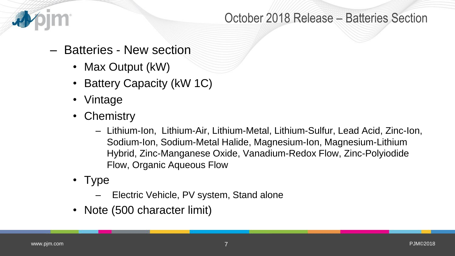

## October 2018 Release – Batteries Section

## – Batteries - New section

- Max Output (kW)
- Battery Capacity (kW 1C)
- Vintage
- Chemistry
	- Lithium-Ion, Lithium-Air, Lithium-Metal, Lithium-Sulfur, Lead Acid, Zinc-Ion, Sodium-Ion, Sodium-Metal Halide, Magnesium-Ion, Magnesium-Lithium Hybrid, Zinc-Manganese Oxide, Vanadium-Redox Flow, Zinc-Polyiodide Flow, Organic Aqueous Flow
- Type
	- Electric Vehicle, PV system, Stand alone
- Note (500 character limit)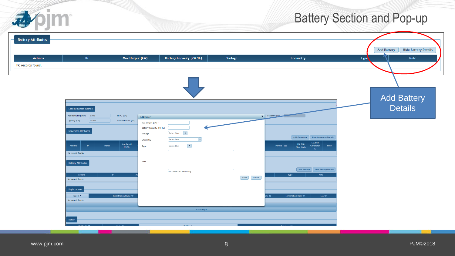## Battery Section and Pop-up

| <b>Battery Attributes</b><br>Max Output (kW)<br><b>Battery Capacity (kW 1C)</b><br><b>Actions</b><br>ID<br>Vintage<br>Chemistry<br><b>Type</b><br>No records found.<br><b>Load Reduction Method</b><br>X Batteries (kW)<br>Manufacturing (kW) 0.000<br>HVAC (kW)<br><b>Add Battery</b><br>35.000<br>Lighting (kW)<br>Water Heaters (kW)<br>Max Output (kW)<br><b>Battery Capacity (kW 1C)</b><br><b>Generator Attributes</b><br>$\overline{\phantom{a}}$<br>Select Year<br>Vintage<br>Add Generator   Hide Generator Details<br>Select One<br>$ \cdot $<br>Chemistry<br><b>EIA 860</b><br><b>Non-Retail</b><br><b>EIA 860</b><br>$\overline{\phantom{a}}$<br>ID<br><b>Name</b><br><b>Permit Type</b><br><b>Note</b><br><b>Actions</b><br>Select One<br>Generator<br>Type<br><b>BTMG</b><br><b>Plant Code</b><br>$\blacksquare$<br>No records found.<br>Note<br><b>Battery Attributes</b><br>Add Battery   Hide Battery Details<br>500 characters remaining<br><b>Actions</b><br>ID<br><b>Note</b><br>Type<br>Save Cancel<br>No records found.<br>Registrations<br>Termination Date $\Theta$<br>LSE $\Theta$<br>Registration Name $\Theta$<br>Reg ID $\blacktriangledown$<br>ate $\boldsymbol{\Theta}$<br>No records found. | <b>Battery Section and Pop-up</b>                                |  |  |  |
|----------------------------------------------------------------------------------------------------------------------------------------------------------------------------------------------------------------------------------------------------------------------------------------------------------------------------------------------------------------------------------------------------------------------------------------------------------------------------------------------------------------------------------------------------------------------------------------------------------------------------------------------------------------------------------------------------------------------------------------------------------------------------------------------------------------------------------------------------------------------------------------------------------------------------------------------------------------------------------------------------------------------------------------------------------------------------------------------------------------------------------------------------------------------------------------------------------------------------|------------------------------------------------------------------|--|--|--|
|                                                                                                                                                                                                                                                                                                                                                                                                                                                                                                                                                                                                                                                                                                                                                                                                                                                                                                                                                                                                                                                                                                                                                                                                                            | <b>Hide Battery Details</b><br><b>Add Battery</b><br><b>Note</b> |  |  |  |
|                                                                                                                                                                                                                                                                                                                                                                                                                                                                                                                                                                                                                                                                                                                                                                                                                                                                                                                                                                                                                                                                                                                                                                                                                            | <b>Add Battery</b><br><b>Details</b>                             |  |  |  |
| $0$ record(s)                                                                                                                                                                                                                                                                                                                                                                                                                                                                                                                                                                                                                                                                                                                                                                                                                                                                                                                                                                                                                                                                                                                                                                                                              |                                                                  |  |  |  |
| <b>RERRA</b>                                                                                                                                                                                                                                                                                                                                                                                                                                                                                                                                                                                                                                                                                                                                                                                                                                                                                                                                                                                                                                                                                                                                                                                                               |                                                                  |  |  |  |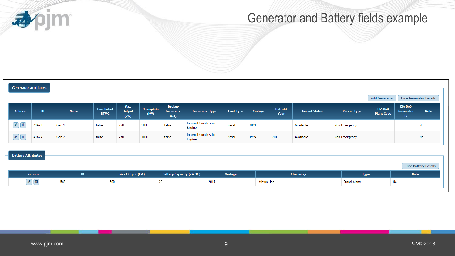**Apjm** 

## Generator and Battery fields example

|                                                          | <b>Generator Attributes</b> |             |                                  |                       |                          |                                    |                                      |                  |             |                  |                      |                    |                                     |                                   |                               |
|----------------------------------------------------------|-----------------------------|-------------|----------------------------------|-----------------------|--------------------------|------------------------------------|--------------------------------------|------------------|-------------|------------------|----------------------|--------------------|-------------------------------------|-----------------------------------|-------------------------------|
|                                                          |                             |             |                                  |                       |                          |                                    |                                      |                  |             |                  |                      |                    | <b>Add Generator</b>                |                                   | <b>Hide Generator Details</b> |
| <b>Actions</b>                                           | ID.                         | <b>Name</b> | <b>Non-Retail</b><br><b>BTMG</b> | Max<br>Output<br>(kW) | <b>Nameplate</b><br>(kW) | <b>Backup</b><br>Generator<br>Only | <b>Generator Type</b>                | <b>Fuel Type</b> | Vintage     | Retrofit<br>Year | <b>Permit Status</b> | <b>Permit Type</b> | <b>EIA 860</b><br><b>Plant Code</b> | <b>EIA 860</b><br>Generator<br>ID | <b>Note</b>                   |
| $\bullet$ $\bullet$                                      | 41628                       | Gen 1       | false                            | 750                   | 900                      | false                              | <b>Internal Combustion</b><br>Engine | Diesel           | 2011        |                  | Available            | Non Emergency      |                                     |                                   | No                            |
| $\bullet$ $\Box$                                         | 41629                       | Gen 2       | false                            | 250                   | 1000                     | false                              | <b>Internal Combustion</b><br>Engine | Diesel           | 1999        | 2017             | Available            | Non Emergency      |                                     |                                   | No                            |
| <b>Battery Attributes</b><br><b>Hide Battery Details</b> |                             |             |                                  |                       |                          |                                    |                                      |                  |             |                  |                      |                    |                                     |                                   |                               |
|                                                          | <b>Actions</b>              | ID          |                                  | Max Output (kW)       |                          | <b>Battery Capacity (kW 1C)</b>    |                                      | Vintage          |             |                  | Chemistry            | <b>Type</b>        |                                     | <b>Note</b>                       |                               |
|                                                          | $\bigcirc$                  | 543         | 500                              |                       |                          | 20                                 |                                      | 2015             | Lithium-Ion |                  |                      | <b>Stand Alone</b> |                                     | No                                |                               |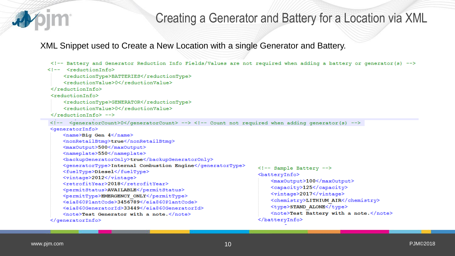## Creating a Generator and Battery for a Location via XML

XML Snippet used to Create a New Location with a single Generator and Battery.

```
<!-- Battery and Generator Reduction Info Fields/Values are not required when adding a battery or generator(s) -->
<!-- <reductionInfo>
    <reductionType>BATTERIES</reductionType>
     <reductionValue>0</reductionValue>
\langle/reductionInfo>
<reductionInfo>
    <reductionType>GENERATOR</reductionType>
     <reductionValue>0</reductionValue>
\langle/reductionInfo> -->
\langle!-- \langle deneratorCount>0</deneratorCount> --> <!-- Count not required when adding denerator(s) -->
<generatorInfo>
     <name>Big Gen 4</name>
    <nonRetailBtmg>true</nonRetailBtmg>
    <maxOutput>500</maxOutput>
    <nameplate>550</nameplate>
    <br />backupGeneratorOnly>true</backupGeneratorOnly>
    <generatorType>Internal Combustion Engine</generatorType>
                                                                   <!-- Sample Battery -->
    <fuelType>Diesel</fuelType>
                                                                   <batteryInfo>
    <vintage>2012</vintage>
                                                                        <maxOutput>100</maxOutput>
    <retrofitYear>2018</retrofitYear>
                                                                        <capacity>125</capacity>
    <permitStatus>AVAILABLE</permitStatus>
                                                                       <vintage>2017</vintage>
    <permitType>EMERGENCY ONLY</permitType>
                                                                        <chemistry>LITHIUM AIR</chemistry>
    <eia860PlantCode>3456789</eia860PlantCode>
                                                                       <type>STAND ALONE</type>
    <eia860GeneratorId>33449</eia860GeneratorId>
                                                                        <note>Test Battery with a note.</note>
     <note>Test Generator with a note.</note>
                                                                   </batteryInfo>
</generatorInfo>
```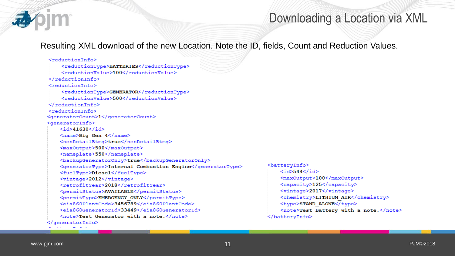

#### Downloading a Location via XML

Resulting XML download of the new Location. Note the ID, fields, Count and Reduction Values.

#### <reductionInfo>

<reductionType>BATTERIES</reductionType> <reductionValue>100</reductionValue> </reductionInfo> <reductionInfo> <reductionType>GENERATOR</reductionType> <reductionValue>500</reductionValue> </reductionInfo> <reductionInfo> <generatorCount>1</generatorCount> <generatorInfo>  $<$ id>41630</id> <name>Big Gen 4</name> <nonRetailBtmg>true</nonRetailBtmg> <maxOutput>500</maxOutput> <nameplate>550</nameplate> <br />
backupGeneratorOnly>true</backupGeneratorOnly> <generatorType>Internal Combustion Engine</generatorType> <fuelType>Diesel</fuelType> <vintage>2012</vintage> <retrofitYear>2018</retrofitYear> <permitStatus>AVAILABLE</permitStatus> <permitType>EMERGENCY ONLY</permitType> <eia860PlantCode>3456789</eia860PlantCode> <eia860GeneratorId>33449</eia860GeneratorId> <note>Test Generator with a note.</note> </generatorInfo>

<batteryInfo>  $<$ id>544</id> <maxOutput>100</maxOutput> <capacity>125</capacity> <vintage>2017</vintage> <chemistry>LITHIUM AIR</chemistry> <type>STAND ALONE</type> <note>Test Battery with a note.</note>  $\langle$ batteryInfo>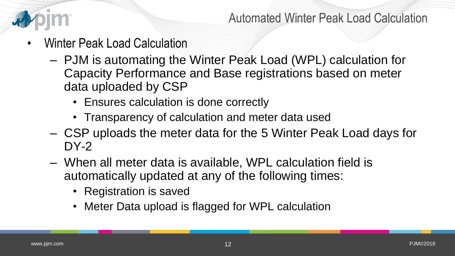

Automated Winter Peak Load Calculation

- Winter Peak Load Calculation
	- PJM is automating the Winter Peak Load (WPL) calculation for Capacity Performance and Base registrations based on meter data uploaded by CSP
		- Ensures calculation is done correctly
		- Transparency of calculation and meter data used
	- CSP uploads the meter data for the 5 Winter Peak Load days for DY-2
	- When all meter data is available, WPL calculation field is automatically updated at any of the following times:
		- Registration is saved
		- Meter Data upload is flagged for WPL calculation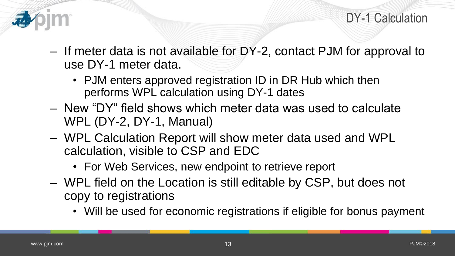

- If meter data is not available for DY-2, contact PJM for approval to use DY-1 meter data.
	- PJM enters approved registration ID in DR Hub which then performs WPL calculation using DY-1 dates
- New "DY" field shows which meter data was used to calculate WPL (DY-2, DY-1, Manual)
- WPL Calculation Report will show meter data used and WPL calculation, visible to CSP and EDC
	- For Web Services, new endpoint to retrieve report
- WPL field on the Location is still editable by CSP, but does not copy to registrations
	- Will be used for economic registrations if eligible for bonus payment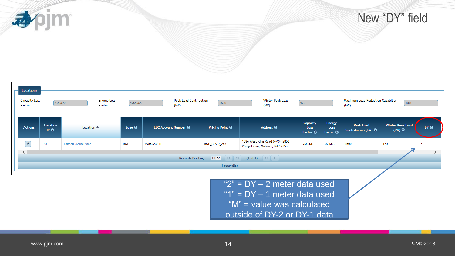小jm



| <b>Locations</b><br><b>Capacity Loss</b><br><b>Peak Load Contribution</b><br>Winter Peak Load<br><b>Energy Loss</b><br>Maximum Load Reduction Capability<br>1.66666<br>1000<br>1.66666<br>2500<br>$170$<br>Factor<br>(kW)<br>(kW)<br>(kW)<br>Factor |                                                                                                       |                      |                                                                |            |                        |                                                                 |                                     |                                          |                                         |                                            |                 |
|-----------------------------------------------------------------------------------------------------------------------------------------------------------------------------------------------------------------------------------------------------|-------------------------------------------------------------------------------------------------------|----------------------|----------------------------------------------------------------|------------|------------------------|-----------------------------------------------------------------|-------------------------------------|------------------------------------------|-----------------------------------------|--------------------------------------------|-----------------|
| <b>Actions</b>                                                                                                                                                                                                                                      | Location<br>$ID \Theta$                                                                               | Location $\triangle$ | Zone $\Theta$<br><b>EDC Account Number <math>\Theta</math></b> |            | Pricing Point $\Theta$ | Address $\Theta$                                                | Capacity<br>Loss<br>Factor $\Theta$ | <b>Energy</b><br>Loss<br>Factor $\Theta$ | Peak Load<br>Contribution (kW) $\Theta$ | <b>Winter Peak Load</b><br>$(kW)$ $\Theta$ | DY <sub>0</sub> |
| $\overline{r}$                                                                                                                                                                                                                                      | 163                                                                                                   | Lancair Mako Place   | <b>BGE</b>                                                     | 9988223341 | BGE_RESID_AGG          | 1086 West King Road @@@, 2850<br>Wings Drive, Malvern, PA 19355 | 1.66666                             | 1.66666                                  | 2500                                    | 170                                        |                 |
| $\leq$                                                                                                                                                                                                                                              | Records Per Page: $10 \times$<br>$(1 of 1)$ $\Rightarrow$ $\Rightarrow$<br>$-14$ $-44$<br>1 record(s) |                      |                                                                |            |                        |                                                                 |                                     |                                          |                                         |                                            |                 |

" $2" = DY - 2$  meter data used "1" = DY – 1 meter data used "M" = value was calculated outside of DY-2 or DY-1 data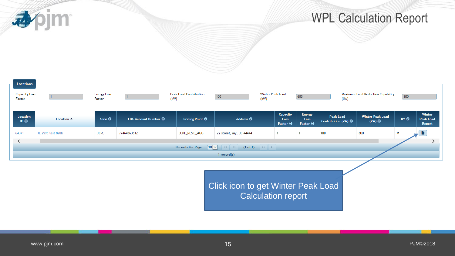apjm

## WPL Calculation Report

| <b>Locations</b>               |                      |                              |                                               |                                       |                                    |                                                 |                                            |                                          |                                         |                                          |                 |                                      |
|--------------------------------|----------------------|------------------------------|-----------------------------------------------|---------------------------------------|------------------------------------|-------------------------------------------------|--------------------------------------------|------------------------------------------|-----------------------------------------|------------------------------------------|-----------------|--------------------------------------|
| <b>Capacity Loss</b><br>Factor |                      | <b>Energy Loss</b><br>Factor | $\vert$ 1                                     | <b>Peak Load Contribution</b><br>(kW) | 100                                | Winter Peak Load<br>(kW)                        |                                            | 600                                      | (kW)                                    | Maximum Load Reduction Capability        | 800             |                                      |
| Location<br>$ID \Theta$        | Location $\triangle$ | Zone $\Theta$                | <b>EDC Account Number <math>\Theta</math></b> | Pricing Point $\Theta$                | Address $\Theta$                   |                                                 | Capacity<br><b>Loss</b><br>Factor $\Theta$ | <b>Energy</b><br>Loss<br>Factor $\Theta$ | Peak Load<br>Contribution (kW) $\Theta$ | <b>Winter Peak Load</b><br>(kW) $\Theta$ | DY <sub>0</sub> | Winter<br><b>Peak Load</b><br>Report |
| 64371                          | JL 2598 test 820b    | <b>JCPL</b>                  | 77464563532                                   | JCPL_RESID_AGG                        | 22 street, my, DC 44444            |                                                 |                                            |                                          | 100                                     | 600                                      | M               |                                      |
| $\left\langle \right\rangle$   |                      |                              |                                               |                                       |                                    |                                                 |                                            |                                          |                                         |                                          |                 |                                      |
|                                |                      |                              |                                               | Records Per Page: $10$ $\vee$         | $14$ $   -$                        | $(1 \text{ of } 1)$ $\Rightarrow$ $\Rightarrow$ |                                            |                                          |                                         |                                          |                 |                                      |
|                                |                      |                              |                                               |                                       | 1 $record(s)$                      |                                                 |                                            |                                          |                                         |                                          |                 |                                      |
|                                |                      |                              |                                               |                                       | Click icon to get Winter Peak Load |                                                 | <b>Calculation report</b>                  |                                          |                                         |                                          |                 |                                      |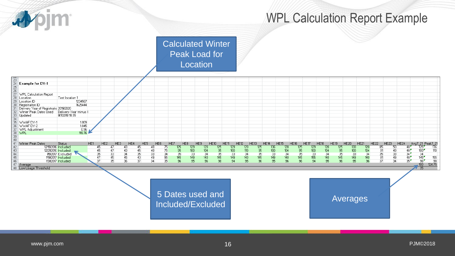